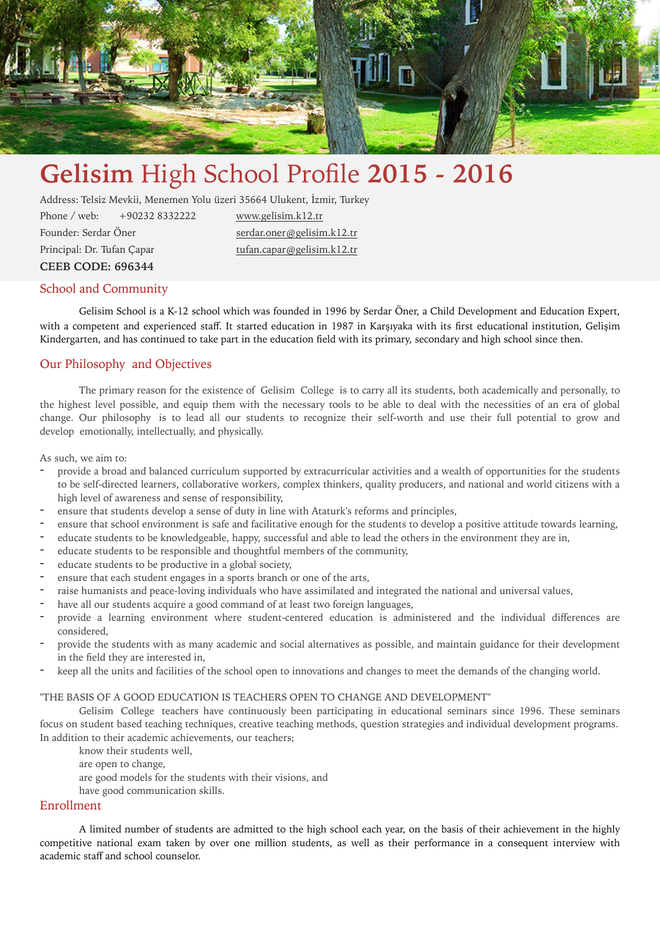

# **Gelisim** High School Profile **2015 - 2016**

Address: Telsiz Mevkii, Menemen Yolu üzeri 35664 Ulukent, İzmir, Turkey

Phone / web: +90232 8332222 [www.gelisim.k12.tr](http://www.gelisim.k12.tr) Founder: Serdar Öner [serdar.oner@gelisim.k12.tr](mailto:serdar.oner@gelisim.k12.tr) Principal: Dr. Tufan Çapar [tufan.capar@gelisim.k12.tr](mailto:tufan.capar@gelisim.k12.tr) **CEEB CODE: 696344** 

#### School and Community

Gelisim School is a K-12 school which was founded in 1996 by Serdar Öner, a Child Development and Education Expert, with a competent and experienced staff. It started education in 1987 in Karşıyaka with its first educational institution, Gelişim Kindergarten, and has continued to take part in the education field with its primary, secondary and high school since then.

#### Our Philosophy and Objectives

The primary reason for the existence of Gelisim College is to carry all its students, both academically and personally, to the highest level possible, and equip them with the necessary tools to be able to deal with the necessities of an era of global change. Our philosophy is to lead all our students to recognize their self-worth and use their full potential to grow and develop emotionally, intellectually, and physically.

As such, we aim to:

- provide a broad and balanced curriculum supported by extracurricular activities and a wealth of opportunities for the students to be self-directed learners, collaborative workers, complex thinkers, quality producers, and national and world citizens with a high level of awareness and sense of responsibility,
- ensure that students develop a sense of duty in line with Ataturk's reforms and principles,
- ensure that school environment is safe and facilitative enough for the students to develop a positive attitude towards learning,
- educate students to be knowledgeable, happy, successful and able to lead the others in the environment they are in,
- educate students to be responsible and thoughtful members of the community,
- educate students to be productive in a global society,
- ensure that each student engages in a sports branch or one of the arts,
- raise humanists and peace-loving individuals who have assimilated and integrated the national and universal values,
- have all our students acquire a good command of at least two foreign languages,
- provide a learning environment where student-centered education is administered and the individual differences are considered,
- provide the students with as many academic and social alternatives as possible, and maintain guidance for their development in the field they are interested in,
- keep all the units and facilities of the school open to innovations and changes to meet the demands of the changing world.

#### "THE BASIS OF A GOOD EDUCATION IS TEACHERS OPEN TO CHANGE AND DEVELOPMENT"

Gelisim College teachers have continuously been participating in educational seminars since 1996. These seminars focus on student based teaching techniques, creative teaching methods, question strategies and individual development programs. In addition to their academic achievements, our teachers;

know their students well,

- are open to change,
- are good models for the students with their visions, and
- have good communication skills.

#### Enrollment

A limited number of students are admitted to the high school each year, on the basis of their achievement in the highly competitive national exam taken by over one million students, as well as their performance in a consequent interview with academic staff and school counselor.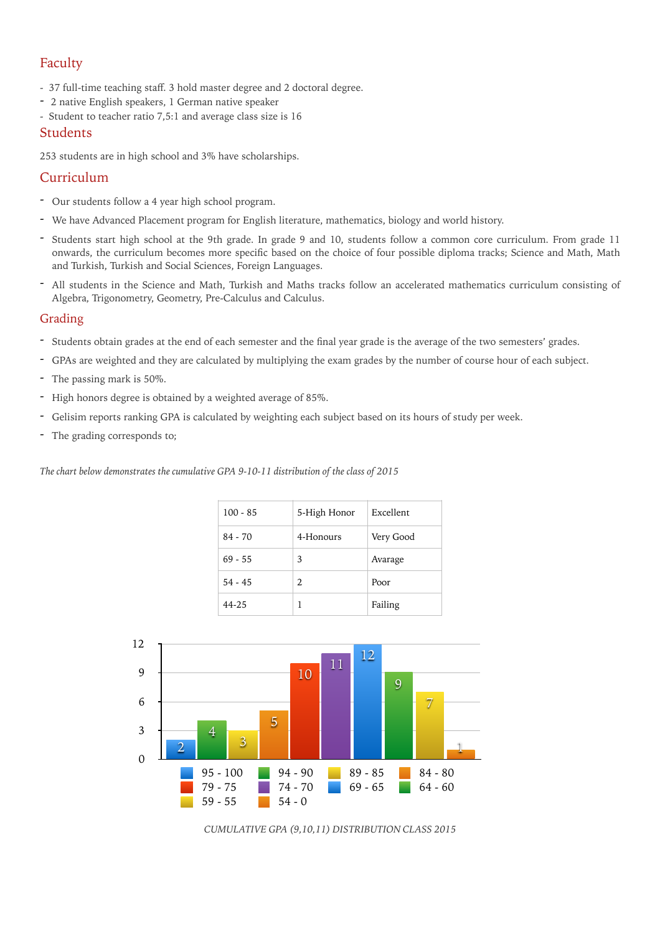## Faculty

- 37 full-time teaching staff. 3 hold master degree and 2 doctoral degree.
- 2 native English speakers, 1 German native speaker
- Student to teacher ratio 7,5:1 and average class size is 16

#### **Students**

253 students are in high school and 3% have scholarships.

### Curriculum

- Our students follow a 4 year high school program.
- We have Advanced Placement program for English literature, mathematics, biology and world history.
- Students start high school at the 9th grade. In grade 9 and 10, students follow a common core curriculum. From grade 11 onwards, the curriculum becomes more specific based on the choice of four possible diploma tracks; Science and Math, Math and Turkish, Turkish and Social Sciences, Foreign Languages.
- All students in the Science and Math, Turkish and Maths tracks follow an accelerated mathematics curriculum consisting of Algebra, Trigonometry, Geometry, Pre-Calculus and Calculus.

#### Grading

- Students obtain grades at the end of each semester and the final year grade is the average of the two semesters' grades.
- GPAs are weighted and they are calculated by multiplying the exam grades by the number of course hour of each subject.
- The passing mark is 50%.
- High honors degree is obtained by a weighted average of 85%.
- Gelisim reports ranking GPA is calculated by weighting each subject based on its hours of study per week.
- The grading corresponds to;

*The chart below demonstrates the cumulative GPA 9-10-11 distribution of the class of 2015*

| $100 - 85$ | 5-High Honor          | Excellent |
|------------|-----------------------|-----------|
| $84 - 70$  | 4-Honours             | Very Good |
| $69 - 55$  | 3                     | Avarage   |
| $54 - 45$  | $\mathcal{D}_{\cdot}$ | Poor      |
| 44-25      |                       | Failing   |



*CUMULATIVE GPA (9,10,11) DISTRIBUTION CLASS 2015*